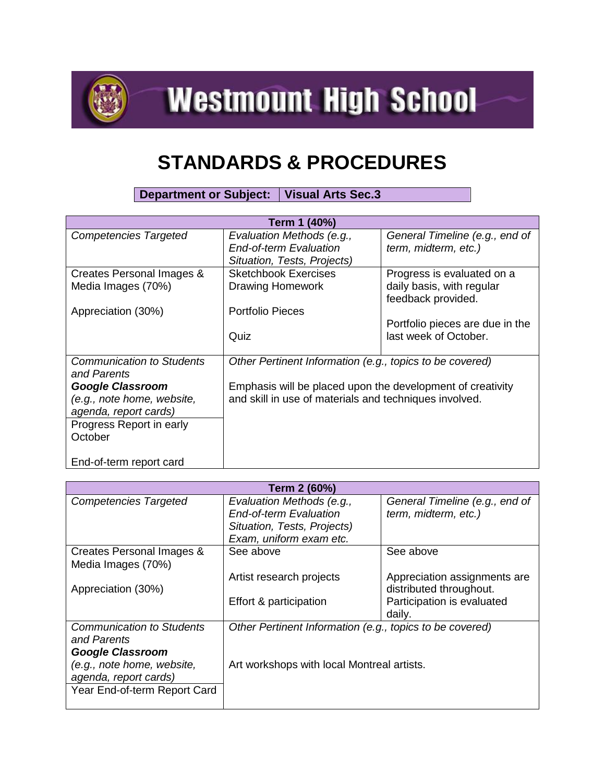

**Westmount High School** 

## **STANDARDS & PROCEDURES**

**Department or Subject: Visual Arts Sec.3**

| Term 1 (40%)                     |                                                            |                                 |  |
|----------------------------------|------------------------------------------------------------|---------------------------------|--|
| <b>Competencies Targeted</b>     | Evaluation Methods (e.g.,                                  | General Timeline (e.g., end of  |  |
|                                  | <b>End-of-term Evaluation</b>                              | term, midterm, etc.)            |  |
|                                  | Situation, Tests, Projects)                                |                                 |  |
| Creates Personal Images &        | <b>Sketchbook Exercises</b>                                | Progress is evaluated on a      |  |
| Media Images (70%)               | <b>Drawing Homework</b>                                    | daily basis, with regular       |  |
|                                  |                                                            | feedback provided.              |  |
| Appreciation (30%)               | <b>Portfolio Pieces</b>                                    |                                 |  |
|                                  |                                                            | Portfolio pieces are due in the |  |
|                                  | Quiz                                                       | last week of October.           |  |
|                                  |                                                            |                                 |  |
| <b>Communication to Students</b> | Other Pertinent Information (e.g., topics to be covered)   |                                 |  |
| and Parents                      |                                                            |                                 |  |
| <b>Google Classroom</b>          | Emphasis will be placed upon the development of creativity |                                 |  |
| (e.g., note home, website,       | and skill in use of materials and techniques involved.     |                                 |  |
| agenda, report cards)            |                                                            |                                 |  |
| Progress Report in early         |                                                            |                                 |  |
| October                          |                                                            |                                 |  |
|                                  |                                                            |                                 |  |
| End-of-term report card          |                                                            |                                 |  |

| Term 2 (60%)                     |                                                          |                                |  |
|----------------------------------|----------------------------------------------------------|--------------------------------|--|
| <b>Competencies Targeted</b>     | Evaluation Methods (e.g.,                                | General Timeline (e.g., end of |  |
|                                  | <b>End-of-term Evaluation</b>                            | term, midterm, etc.)           |  |
|                                  | Situation, Tests, Projects)                              |                                |  |
|                                  | Exam, uniform exam etc.                                  |                                |  |
| Creates Personal Images &        | See above                                                | See above                      |  |
| Media Images (70%)               |                                                          |                                |  |
|                                  | Artist research projects                                 | Appreciation assignments are   |  |
| Appreciation (30%)               |                                                          | distributed throughout.        |  |
|                                  | Effort & participation                                   | Participation is evaluated     |  |
|                                  |                                                          | daily.                         |  |
| <b>Communication to Students</b> | Other Pertinent Information (e.g., topics to be covered) |                                |  |
| and Parents                      |                                                          |                                |  |
| <b>Google Classroom</b>          |                                                          |                                |  |
| (e.g., note home, website,       | Art workshops with local Montreal artists.               |                                |  |
| agenda, report cards)            |                                                          |                                |  |
| Year End-of-term Report Card     |                                                          |                                |  |
|                                  |                                                          |                                |  |